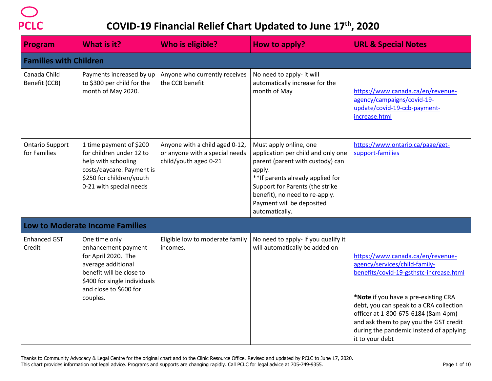

| Program                                | What is it?                                                                                                                                                                         | <b>Who is eligible?</b>                                                                   | How to apply?                                                                                                                                                                                                                                                       | <b>URL &amp; Special Notes</b>                                                                                                                                                                                                                                                                                                                  |
|----------------------------------------|-------------------------------------------------------------------------------------------------------------------------------------------------------------------------------------|-------------------------------------------------------------------------------------------|---------------------------------------------------------------------------------------------------------------------------------------------------------------------------------------------------------------------------------------------------------------------|-------------------------------------------------------------------------------------------------------------------------------------------------------------------------------------------------------------------------------------------------------------------------------------------------------------------------------------------------|
| <b>Families with Children</b>          |                                                                                                                                                                                     |                                                                                           |                                                                                                                                                                                                                                                                     |                                                                                                                                                                                                                                                                                                                                                 |
| Canada Child<br>Benefit (CCB)          | Payments increased by up<br>to \$300 per child for the<br>month of May 2020.                                                                                                        | Anyone who currently receives<br>the CCB benefit                                          | No need to apply- it will<br>automatically increase for the<br>month of May                                                                                                                                                                                         | https://www.canada.ca/en/revenue-<br>agency/campaigns/covid-19-<br>update/covid-19-ccb-payment-<br>increase.html                                                                                                                                                                                                                                |
| <b>Ontario Support</b><br>for Families | 1 time payment of \$200<br>for children under 12 to<br>help with schooling<br>costs/daycare. Payment is<br>\$250 for children/youth<br>0-21 with special needs                      | Anyone with a child aged 0-12,<br>or anyone with a special needs<br>child/youth aged 0-21 | Must apply online, one<br>application per child and only one<br>parent (parent with custody) can<br>apply.<br>** If parents already applied for<br>Support for Parents (the strike<br>benefit), no need to re-apply.<br>Payment will be deposited<br>automatically. | https://www.ontario.ca/page/get-<br>support-families                                                                                                                                                                                                                                                                                            |
|                                        | <b>Low to Moderate Income Families</b>                                                                                                                                              |                                                                                           |                                                                                                                                                                                                                                                                     |                                                                                                                                                                                                                                                                                                                                                 |
| <b>Enhanced GST</b><br>Credit          | One time only<br>enhancement payment<br>for April 2020. The<br>average additional<br>benefit will be close to<br>\$400 for single individuals<br>and close to \$600 for<br>couples. | Eligible low to moderate family<br>incomes.                                               | No need to apply- if you qualify it<br>will automatically be added on                                                                                                                                                                                               | https://www.canada.ca/en/revenue-<br>agency/services/child-family-<br>benefits/covid-19-gsthstc-increase.html<br>*Note if you have a pre-existing CRA<br>debt, you can speak to a CRA collection<br>officer at 1-800-675-6184 (8am-4pm)<br>and ask them to pay you the GST credit<br>during the pandemic instead of applying<br>it to your debt |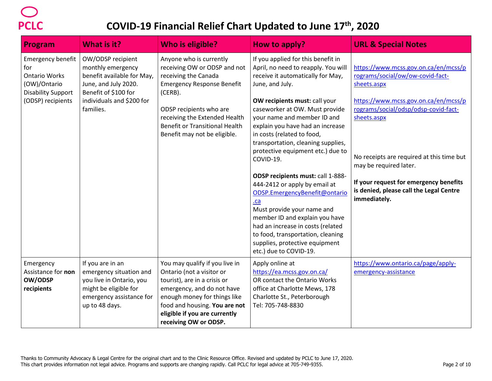| Program                                                                                                                   | <b>What is it?</b>                                                                                                                                             | Who is eligible?                                                                                                                                                                                                                                                     | How to apply?                                                                                                                                                                                                                                                                                                                                                                                                                                                                                                                                                                                                                                                                                                      | <b>URL &amp; Special Notes</b>                                                                                                                                                                                                                                                                                                                                     |
|---------------------------------------------------------------------------------------------------------------------------|----------------------------------------------------------------------------------------------------------------------------------------------------------------|----------------------------------------------------------------------------------------------------------------------------------------------------------------------------------------------------------------------------------------------------------------------|--------------------------------------------------------------------------------------------------------------------------------------------------------------------------------------------------------------------------------------------------------------------------------------------------------------------------------------------------------------------------------------------------------------------------------------------------------------------------------------------------------------------------------------------------------------------------------------------------------------------------------------------------------------------------------------------------------------------|--------------------------------------------------------------------------------------------------------------------------------------------------------------------------------------------------------------------------------------------------------------------------------------------------------------------------------------------------------------------|
| <b>Emergency benefit</b><br>for<br><b>Ontario Works</b><br>(OW)/Ontario<br><b>Disability Support</b><br>(ODSP) recipients | OW/ODSP recipient<br>monthly emergency<br>benefit available for May,<br>June, and July 2020.<br>Benefit of \$100 for<br>individuals and \$200 for<br>families. | Anyone who is currently<br>receiving OW or ODSP and not<br>receiving the Canada<br><b>Emergency Response Benefit</b><br>(CERB).<br>ODSP recipients who are<br>receiving the Extended Health<br><b>Benefit or Transitional Health</b><br>Benefit may not be eligible. | If you applied for this benefit in<br>April, no need to reapply. You will<br>receive it automatically for May,<br>June, and July.<br>OW recipients must: call your<br>caseworker at OW. Must provide<br>your name and member ID and<br>explain you have had an increase<br>in costs (related to food,<br>transportation, cleaning supplies,<br>protective equipment etc.) due to<br>COVID-19.<br>ODSP recipients must: call 1-888-<br>444-2412 or apply by email at<br>ODSP.EmergencyBenefit@ontario<br>$ca$<br>Must provide your name and<br>member ID and explain you have<br>had an increase in costs (related<br>to food, transportation, cleaning<br>supplies, protective equipment<br>etc.) due to COVID-19. | https://www.mcss.gov.on.ca/en/mcss/p<br>rograms/social/ow/ow-covid-fact-<br>sheets.aspx<br>https://www.mcss.gov.on.ca/en/mcss/p<br>rograms/social/odsp/odsp-covid-fact-<br>sheets.aspx<br>No receipts are required at this time but<br>may be required later.<br>If your request for emergency benefits<br>is denied, please call the Legal Centre<br>immediately. |
| Emergency<br>Assistance for non<br>OW/ODSP<br>recipients                                                                  | If you are in an<br>emergency situation and<br>you live in Ontario, you<br>might be eligible for<br>emergency assistance for<br>up to 48 days.                 | You may qualify if you live in<br>Ontario (not a visitor or<br>tourist), are in a crisis or<br>emergency, and do not have<br>enough money for things like<br>food and housing. You are not<br>eligible if you are currently<br>receiving OW or ODSP.                 | Apply online at<br>https://ea.mcss.gov.on.ca/<br>OR contact the Ontario Works<br>office at Charlotte Mews, 178<br>Charlotte St., Peterborough<br>Tel: 705-748-8830                                                                                                                                                                                                                                                                                                                                                                                                                                                                                                                                                 | https://www.ontario.ca/page/apply-<br>emergency-assistance                                                                                                                                                                                                                                                                                                         |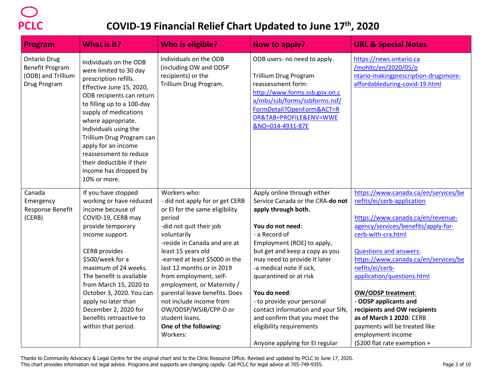| <b>Program</b>                                                                      | What is it?                                                                                                                                                                                                                                                                                                                                                                                  | <b>Who is eligible?</b>                                                                                                                                                                                                                                                                                                                                                                                                                                        | How to apply?                                                                                                                                                                                                                                                                                                                                                                                                                                                       | <b>URL &amp; Special Notes</b>                                                                                                                                                                                                                                                                                                                                                                                                                                                                         |
|-------------------------------------------------------------------------------------|----------------------------------------------------------------------------------------------------------------------------------------------------------------------------------------------------------------------------------------------------------------------------------------------------------------------------------------------------------------------------------------------|----------------------------------------------------------------------------------------------------------------------------------------------------------------------------------------------------------------------------------------------------------------------------------------------------------------------------------------------------------------------------------------------------------------------------------------------------------------|---------------------------------------------------------------------------------------------------------------------------------------------------------------------------------------------------------------------------------------------------------------------------------------------------------------------------------------------------------------------------------------------------------------------------------------------------------------------|--------------------------------------------------------------------------------------------------------------------------------------------------------------------------------------------------------------------------------------------------------------------------------------------------------------------------------------------------------------------------------------------------------------------------------------------------------------------------------------------------------|
| <b>Ontario Drug</b><br><b>Benefit Program</b><br>(ODB) and Trillium<br>Drug Program | Individuals on the ODB<br>were limited to 30 day<br>prescription refills.<br>Effective June 15, 2020,<br>ODB recipients can return<br>to filling up to a 100-day<br>supply of medications<br>where appropriate.<br>Individuals using the<br>Trillium Drug Program can<br>apply for an income<br>reassessment to reduce<br>their deductible if their<br>income has dropped by<br>10% or more. | Individuals on the ODB<br>(including OW and ODSP<br>recipients) or the<br>Trillium Drug Program.                                                                                                                                                                                                                                                                                                                                                               | ODB users- no need to apply.<br><b>Trillium Drug Program</b><br>reassessment form:<br>http://www.forms.ssb.gov.on.c<br>a/mbs/ssb/forms/ssbforms.nsf/<br>FormDetail?OpenForm&ACT=R<br>DR&TAB=PROFILE&ENV=WWE<br>&NO=014-4931-87E                                                                                                                                                                                                                                     | https://news.ontario.ca<br>/mohltc/en/2020/05/o<br>ntario-makingprescription-drugsmore-<br>affordableduring-covid-19.html                                                                                                                                                                                                                                                                                                                                                                              |
| Canada<br>Emergency<br>Response Benefit<br>(CERB)                                   | If you have stopped<br>working or have reduced<br>income because of<br>COVID-19, CERB may<br>provide temporary<br>income support.<br><b>CERB</b> provides<br>\$500/week for a<br>maximum of 24 weeks.<br>The benefit is available<br>from March 15, 2020 to<br>October 3, 2020. You can<br>apply no later than<br>December 2, 2020 for<br>benefits retroactive to<br>within that period.     | Workers who:<br>- did not apply for or get CERB<br>or EI for the same eligibility<br>period<br>-did not quit their job<br>voluntarily<br>-reside in Canada and are at<br>least 15 years old<br>-earned at least \$5000 in the<br>last 12 months or in 2019<br>from employment, self-<br>employment, or Maternity /<br>parental leave benefits. Does<br>not include income from<br>OW/ODSP/WSIB/CPP-D or<br>student loans.<br>One of the following:<br>Workers: | Apply online through either<br>Service Canada or the CRA-do not<br>apply through both.<br>You do not need:<br>- a Record of<br>Employment (ROE) to apply,<br>but get and keep a copy as you<br>may need to provide it later<br>-a medical note if sick,<br>quarantined or at risk<br>You do need:<br>- to provide your personal<br>contact information and your SIN,<br>and confirm that you meet the<br>eligibility requirements<br>Anyone applying for EI regular | https://www.canada.ca/en/services/be<br>nefits/ei/cerb-application<br>https://www.canada.ca/en/revenue-<br>agency/services/benefits/apply-for-<br>cerb-with-cra.html<br><b>Questions and answers:</b><br>https://www.canada.ca/en/services/be<br>nefits/ei/cerb-<br>application/questions.html<br><b>OW/ODSP treatment:</b><br>- ODSP applicants and<br>recipients and OW recipients<br>as of March 1 2020: CERB<br>payments will be treated like<br>employment income<br>(\$200 flat rate exemption + |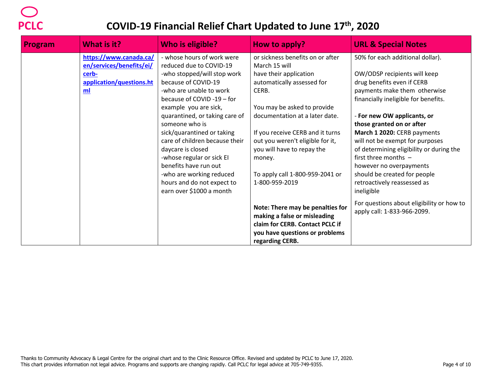| <b>Program</b> | <b>What is it?</b>                                 | <b>Who is eligible?</b>                                      | How to apply?                                                    | <b>URL &amp; Special Notes</b>                                              |
|----------------|----------------------------------------------------|--------------------------------------------------------------|------------------------------------------------------------------|-----------------------------------------------------------------------------|
|                | https://www.canada.ca/<br>en/services/benefits/ei/ | - whose hours of work were<br>reduced due to COVID-19        | or sickness benefits on or after<br>March 15 will                | 50% for each additional dollar).                                            |
|                | cerb-                                              | -who stopped/will stop work                                  | have their application                                           | OW/ODSP recipients will keep                                                |
|                | application/questions.ht                           | because of COVID-19                                          | automatically assessed for                                       | drug benefits even if CERB                                                  |
|                | ml                                                 | -who are unable to work                                      | CERB.                                                            | payments make them otherwise                                                |
|                |                                                    | because of COVID-19 - for                                    |                                                                  | financially ineligible for benefits.                                        |
|                |                                                    | example you are sick,                                        | You may be asked to provide                                      |                                                                             |
|                |                                                    | quarantined, or taking care of                               | documentation at a later date.                                   | - For new OW applicants, or                                                 |
|                |                                                    | someone who is                                               |                                                                  | those granted on or after                                                   |
|                |                                                    | sick/quarantined or taking<br>care of children because their | If you receive CERB and it turns                                 | March 1 2020: CERB payments                                                 |
|                |                                                    | daycare is closed                                            | out you weren't eligible for it,<br>you will have to repay the   | will not be exempt for purposes<br>of determining eligibility or during the |
|                |                                                    | -whose regular or sick EI                                    | money.                                                           | first three months $-$                                                      |
|                |                                                    | benefits have run out                                        |                                                                  | however no overpayments                                                     |
|                |                                                    | -who are working reduced                                     | To apply call 1-800-959-2041 or                                  | should be created for people                                                |
|                |                                                    | hours and do not expect to                                   | 1-800-959-2019                                                   | retroactively reassessed as                                                 |
|                |                                                    | earn over \$1000 a month                                     |                                                                  | ineligible                                                                  |
|                |                                                    |                                                              | Note: There may be penalties for<br>making a false or misleading | For questions about eligibility or how to<br>apply call: 1-833-966-2099.    |
|                |                                                    |                                                              | claim for CERB. Contact PCLC if                                  |                                                                             |
|                |                                                    |                                                              | you have questions or problems                                   |                                                                             |
|                |                                                    |                                                              | regarding CERB.                                                  |                                                                             |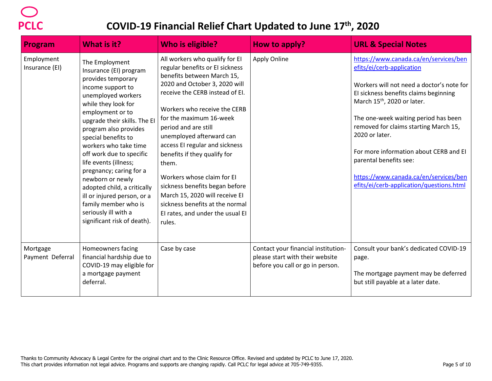| Program                      | What is it?                                                                                                                                                                                                                                                                                                                                                                                                                                                                                                    | <b>Who is eligible?</b>                                                                                                                                                                                                                                                                                                                                                                                                                                                                                                                          | How to apply?                                                                                              | <b>URL &amp; Special Notes</b>                                                                                                                                                                                                                                                                                                                                                                                                                                  |
|------------------------------|----------------------------------------------------------------------------------------------------------------------------------------------------------------------------------------------------------------------------------------------------------------------------------------------------------------------------------------------------------------------------------------------------------------------------------------------------------------------------------------------------------------|--------------------------------------------------------------------------------------------------------------------------------------------------------------------------------------------------------------------------------------------------------------------------------------------------------------------------------------------------------------------------------------------------------------------------------------------------------------------------------------------------------------------------------------------------|------------------------------------------------------------------------------------------------------------|-----------------------------------------------------------------------------------------------------------------------------------------------------------------------------------------------------------------------------------------------------------------------------------------------------------------------------------------------------------------------------------------------------------------------------------------------------------------|
| Employment<br>Insurance (EI) | The Employment<br>Insurance (EI) program<br>provides temporary<br>income support to<br>unemployed workers<br>while they look for<br>employment or to<br>upgrade their skills. The El<br>program also provides<br>special benefits to<br>workers who take time<br>off work due to specific<br>life events (illness;<br>pregnancy; caring for a<br>newborn or newly<br>adopted child, a critically<br>ill or injured person, or a<br>family member who is<br>seriously ill with a<br>significant risk of death). | All workers who qualify for EI<br>regular benefits or EI sickness<br>benefits between March 15,<br>2020 and October 3, 2020 will<br>receive the CERB instead of EI.<br>Workers who receive the CERB<br>for the maximum 16-week<br>period and are still<br>unemployed afterward can<br>access EI regular and sickness<br>benefits if they qualify for<br>them.<br>Workers whose claim for El<br>sickness benefits began before<br>March 15, 2020 will receive EI<br>sickness benefits at the normal<br>El rates, and under the usual El<br>rules. | Apply Online                                                                                               | https://www.canada.ca/en/services/ben<br>efits/ei/cerb-application<br>Workers will not need a doctor's note for<br>El sickness benefits claims beginning<br>March 15 <sup>th</sup> , 2020 or later.<br>The one-week waiting period has been<br>removed for claims starting March 15,<br>2020 or later.<br>For more information about CERB and EI<br>parental benefits see:<br>https://www.canada.ca/en/services/ben<br>efits/ei/cerb-application/questions.html |
| Mortgage<br>Payment Deferral | Homeowners facing<br>financial hardship due to<br>COVID-19 may eligible for<br>a mortgage payment<br>deferral.                                                                                                                                                                                                                                                                                                                                                                                                 | Case by case                                                                                                                                                                                                                                                                                                                                                                                                                                                                                                                                     | Contact your financial institution-<br>please start with their website<br>before you call or go in person. | Consult your bank's dedicated COVID-19<br>page.<br>The mortgage payment may be deferred<br>but still payable at a later date.                                                                                                                                                                                                                                                                                                                                   |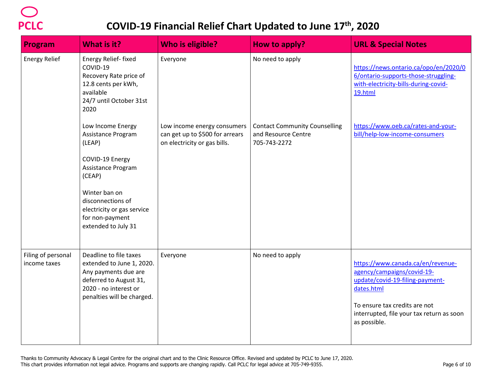| Program                            | What is it?                                                                                                                                                  | <b>Who is eligible?</b>                                                                        | How to apply?                                                               | <b>URL &amp; Special Notes</b>                                                                                                                                                                                 |
|------------------------------------|--------------------------------------------------------------------------------------------------------------------------------------------------------------|------------------------------------------------------------------------------------------------|-----------------------------------------------------------------------------|----------------------------------------------------------------------------------------------------------------------------------------------------------------------------------------------------------------|
| <b>Energy Relief</b>               | Energy Relief- fixed<br>COVID-19<br>Recovery Rate price of<br>12.8 cents per kWh,<br>available<br>24/7 until October 31st<br>2020                            | Everyone                                                                                       | No need to apply                                                            | https://news.ontario.ca/opo/en/2020/0<br>6/ontario-supports-those-struggling-<br>with-electricity-bills-during-covid-<br>19.html                                                                               |
|                                    | Low Income Energy<br>Assistance Program<br>(LEAP)<br>COVID-19 Energy<br>Assistance Program                                                                   | Low income energy consumers<br>can get up to \$500 for arrears<br>on electricity or gas bills. | <b>Contact Community Counselling</b><br>and Resource Centre<br>705-743-2272 | https://www.oeb.ca/rates-and-your-<br>bill/help-low-income-consumers                                                                                                                                           |
|                                    | (CEAP)<br>Winter ban on<br>disconnections of<br>electricity or gas service<br>for non-payment<br>extended to July 31                                         |                                                                                                |                                                                             |                                                                                                                                                                                                                |
| Filing of personal<br>income taxes | Deadline to file taxes<br>extended to June 1, 2020.<br>Any payments due are<br>deferred to August 31,<br>2020 - no interest or<br>penalties will be charged. | Everyone                                                                                       | No need to apply                                                            | https://www.canada.ca/en/revenue-<br>agency/campaigns/covid-19-<br>update/covid-19-filing-payment-<br>dates.html<br>To ensure tax credits are not<br>interrupted, file your tax return as soon<br>as possible. |
|                                    |                                                                                                                                                              |                                                                                                |                                                                             |                                                                                                                                                                                                                |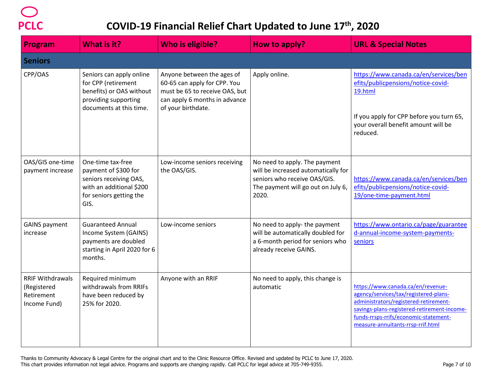| <b>Program</b>                                                       | What is it?                                                                                                                        | <b>Who is eligible?</b>                                                                                                                             | How to apply?                                                                                                                                       | <b>URL &amp; Special Notes</b>                                                                                                                                                                                                                   |
|----------------------------------------------------------------------|------------------------------------------------------------------------------------------------------------------------------------|-----------------------------------------------------------------------------------------------------------------------------------------------------|-----------------------------------------------------------------------------------------------------------------------------------------------------|--------------------------------------------------------------------------------------------------------------------------------------------------------------------------------------------------------------------------------------------------|
| <b>Seniors</b>                                                       |                                                                                                                                    |                                                                                                                                                     |                                                                                                                                                     |                                                                                                                                                                                                                                                  |
| CPP/OAS                                                              | Seniors can apply online<br>for CPP (retirement<br>benefits) or OAS without<br>providing supporting<br>documents at this time.     | Anyone between the ages of<br>60-65 can apply for CPP. You<br>must be 65 to receive OAS, but<br>can apply 6 months in advance<br>of your birthdate. | Apply online.                                                                                                                                       | https://www.canada.ca/en/services/ben<br>efits/publicpensions/notice-covid-<br>19.html<br>If you apply for CPP before you turn 65,<br>your overall benefit amount will be<br>reduced.                                                            |
| OAS/GIS one-time<br>payment increase                                 | One-time tax-free<br>payment of \$300 for<br>seniors receiving OAS,<br>with an additional \$200<br>for seniors getting the<br>GIS. | Low-income seniors receiving<br>the OAS/GIS.                                                                                                        | No need to apply. The payment<br>will be increased automatically for<br>seniors who receive OAS/GIS.<br>The payment will go out on July 6,<br>2020. | https://www.canada.ca/en/services/ben<br>efits/publicpensions/notice-covid-<br>19/one-time-payment.html                                                                                                                                          |
| <b>GAINS payment</b><br>increase                                     | <b>Guaranteed Annual</b><br>Income System (GAINS)<br>payments are doubled<br>starting in April 2020 for 6<br>months.               | Low-income seniors                                                                                                                                  | No need to apply- the payment<br>will be automatically doubled for<br>a 6-month period for seniors who<br>already receive GAINS.                    | https://www.ontario.ca/page/guarantee<br>d-annual-income-system-payments-<br>seniors                                                                                                                                                             |
| <b>RRIF Withdrawals</b><br>(Registered<br>Retirement<br>Income Fund) | Required minimum<br>withdrawals from RRIFs<br>have been reduced by<br>25% for 2020.                                                | Anyone with an RRIF                                                                                                                                 | No need to apply, this change is<br>automatic                                                                                                       | https://www.canada.ca/en/revenue-<br>agency/services/tax/registered-plans-<br>administrators/registered-retirement-<br>savings-plans-registered-retirement-income-<br>funds-rrsps-rrifs/economic-statement-<br>measure-annuitants-rrsp-rrif.html |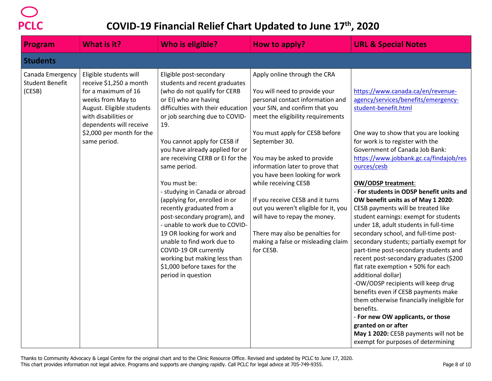

| <b>Program</b>                                       | <b>What is it?</b>                                                                                                                                                                                                         | <b>Who is eligible?</b>                                                                                                                                                                                                                                                                                                                                                                                                                                                                                                                                                                                                                                                             | How to apply?                                                                                                                                                                                                                                                                                                                                                                                                                                                                                                                                              | <b>URL &amp; Special Notes</b>                                                                                                                                                                                                                                                                                                                                                                                                                                                                                                                                                                                                                                                                                                                                                                                                                                                                                                                                                                                                       |
|------------------------------------------------------|----------------------------------------------------------------------------------------------------------------------------------------------------------------------------------------------------------------------------|-------------------------------------------------------------------------------------------------------------------------------------------------------------------------------------------------------------------------------------------------------------------------------------------------------------------------------------------------------------------------------------------------------------------------------------------------------------------------------------------------------------------------------------------------------------------------------------------------------------------------------------------------------------------------------------|------------------------------------------------------------------------------------------------------------------------------------------------------------------------------------------------------------------------------------------------------------------------------------------------------------------------------------------------------------------------------------------------------------------------------------------------------------------------------------------------------------------------------------------------------------|--------------------------------------------------------------------------------------------------------------------------------------------------------------------------------------------------------------------------------------------------------------------------------------------------------------------------------------------------------------------------------------------------------------------------------------------------------------------------------------------------------------------------------------------------------------------------------------------------------------------------------------------------------------------------------------------------------------------------------------------------------------------------------------------------------------------------------------------------------------------------------------------------------------------------------------------------------------------------------------------------------------------------------------|
| <b>Students</b>                                      |                                                                                                                                                                                                                            |                                                                                                                                                                                                                                                                                                                                                                                                                                                                                                                                                                                                                                                                                     |                                                                                                                                                                                                                                                                                                                                                                                                                                                                                                                                                            |                                                                                                                                                                                                                                                                                                                                                                                                                                                                                                                                                                                                                                                                                                                                                                                                                                                                                                                                                                                                                                      |
| Canada Emergency<br><b>Student Benefit</b><br>(CESB) | Eligible students will<br>receive \$1,250 a month<br>for a maximum of 16<br>weeks from May to<br>August. Eligible students<br>with disabilities or<br>dependents will receive<br>\$2,000 per month for the<br>same period. | Eligible post-secondary<br>students and recent graduates<br>(who do not qualify for CERB<br>or EI) who are having<br>difficulties with their education<br>or job searching due to COVID-<br>19.<br>You cannot apply for CESB if<br>you have already applied for or<br>are receiving CERB or EI for the<br>same period.<br>You must be:<br>- studying in Canada or abroad<br>(applying for, enrolled in or<br>recently graduated from a<br>post-secondary program), and<br>- unable to work due to COVID-<br>19 OR looking for work and<br>unable to find work due to<br>COVID-19 OR currently<br>working but making less than<br>\$1,000 before taxes for the<br>period in question | Apply online through the CRA<br>You will need to provide your<br>personal contact information and<br>your SIN, and confirm that you<br>meet the eligibility requirements<br>You must apply for CESB before<br>September 30.<br>You may be asked to provide<br>information later to prove that<br>you have been looking for work<br>while receiving CESB<br>If you receive CESB and it turns<br>out you weren't eligible for it, you<br>will have to repay the money.<br>There may also be penalties for<br>making a false or misleading claim<br>for CESB. | https://www.canada.ca/en/revenue-<br>agency/services/benefits/emergency-<br>student-benefit.html<br>One way to show that you are looking<br>for work is to register with the<br>Government of Canada Job Bank:<br>https://www.jobbank.gc.ca/findajob/res<br>ources/cesb<br><b>OW/ODSP treatment:</b><br>- For students in ODSP benefit units and<br>OW benefit units as of May 1 2020:<br>CESB payments will be treated like<br>student earnings: exempt for students<br>under 18, adult students in full-time<br>secondary school, and full-time post-<br>secondary students; partially exempt for<br>part-time post-secondary students and<br>recent post-secondary graduates (\$200<br>flat rate exemption + 50% for each<br>additional dollar)<br>-OW/ODSP recipients will keep drug<br>benefits even if CESB payments make<br>them otherwise financially ineligible for<br>benefits.<br>- For new OW applicants, or those<br>granted on or after<br>May 1 2020: CESB payments will not be<br>exempt for purposes of determining |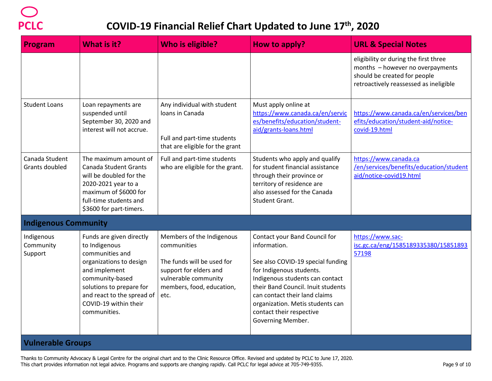| Program                            | What is it?                                                                                                                                                                                                                    | <b>Who is eligible?</b>                                                                                                                                       | How to apply?                                                                                                                                                                                                                                                                                                 | <b>URL &amp; Special Notes</b>                                                                                                                      |  |  |
|------------------------------------|--------------------------------------------------------------------------------------------------------------------------------------------------------------------------------------------------------------------------------|---------------------------------------------------------------------------------------------------------------------------------------------------------------|---------------------------------------------------------------------------------------------------------------------------------------------------------------------------------------------------------------------------------------------------------------------------------------------------------------|-----------------------------------------------------------------------------------------------------------------------------------------------------|--|--|
|                                    |                                                                                                                                                                                                                                |                                                                                                                                                               |                                                                                                                                                                                                                                                                                                               | eligibility or during the first three<br>months - however no overpayments<br>should be created for people<br>retroactively reassessed as ineligible |  |  |
| <b>Student Loans</b>               | Loan repayments are<br>suspended until<br>September 30, 2020 and<br>interest will not accrue.                                                                                                                                  | Any individual with student<br>Ioans in Canada<br>Full and part-time students<br>that are eligible for the grant                                              | Must apply online at<br>https://www.canada.ca/en/servic<br>es/benefits/education/student-<br>aid/grants-loans.html                                                                                                                                                                                            | https://www.canada.ca/en/services/ben<br>efits/education/student-aid/notice-<br>covid-19.html                                                       |  |  |
| Canada Student<br>Grants doubled   | The maximum amount of<br>Canada Student Grants<br>will be doubled for the<br>2020-2021 year to a<br>maximum of \$6000 for<br>full-time students and<br>\$3600 for part-timers.                                                 | Full and part-time students<br>who are eligible for the grant.                                                                                                | Students who apply and qualify<br>for student financial assistance<br>through their province or<br>territory of residence are<br>also assessed for the Canada<br>Student Grant.                                                                                                                               | https://www.canada.ca<br>/en/services/benefits/education/student<br>aid/notice-covid19.html                                                         |  |  |
| <b>Indigenous Community</b>        |                                                                                                                                                                                                                                |                                                                                                                                                               |                                                                                                                                                                                                                                                                                                               |                                                                                                                                                     |  |  |
| Indigenous<br>Community<br>Support | Funds are given directly<br>to Indigenous<br>communities and<br>organizations to design<br>and implement<br>community-based<br>solutions to prepare for<br>and react to the spread of<br>COVID-19 within their<br>communities. | Members of the Indigenous<br>communities<br>The funds will be used for<br>support for elders and<br>vulnerable community<br>members, food, education,<br>etc. | Contact your Band Council for<br>information.<br>See also COVID-19 special funding<br>for Indigenous students.<br>Indigenous students can contact<br>their Band Council. Inuit students<br>can contact their land claims<br>organization. Metis students can<br>contact their respective<br>Governing Member. | https://www.sac-<br>isc.gc.ca/eng/1585189335380/15851893<br>57198                                                                                   |  |  |
|                                    | <b>Vulnerable Groups</b>                                                                                                                                                                                                       |                                                                                                                                                               |                                                                                                                                                                                                                                                                                                               |                                                                                                                                                     |  |  |

Thanks to Community Advocacy & Legal Centre for the original chart and to the Clinic Resource Office. Revised and updated by PCLC to June 17, 2020. This chart provides information not legal advice. Programs and supports are changing rapidly. Call PCLC for legal advice at 705-749-9355.